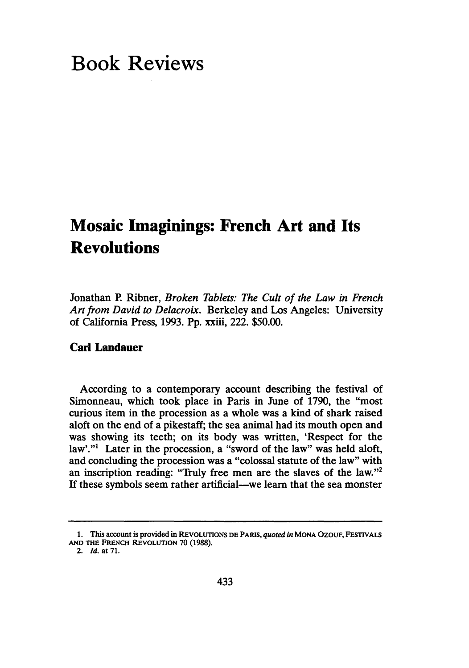# **Book Reviews**

## **Mosaic Imaginings: French Art and Its Revolutions**

Jonathan P. Ribner, *Broken Tablets: The Cult of the Law in French Art from David to Delacroix.* Berkeley and Los Angeles: University of California Press, 1993. Pp. xxiii, 222. \$50.00.

## **Carl Landauer**

According to a contemporary account describing the festival of Simonneau, which took place in Paris in June of 1790, the "most curious item in the procession as a whole was a kind of shark raised aloft on the end of a pikestaff; the sea animal had its mouth open and was showing its teeth; on its body was written, 'Respect for the law'."<sup>1</sup> Later in the procession, a "sword of the law" was held aloft, and concluding the procession was a "colossal statute of the law" with an inscription reading: "Truly free men are the slaves of the law."2 If these symbols seem rather artificial-we learn that the sea monster

**<sup>1.</sup>** This account is **provided** in **REVOLUTIONS DE** PARIS, *quoted in* **MONA OzouF,** FESTIVALS **AND THE FRENCH** REVOLUTION **70 (1988).**

<sup>2.</sup> *Id.* **at 71.**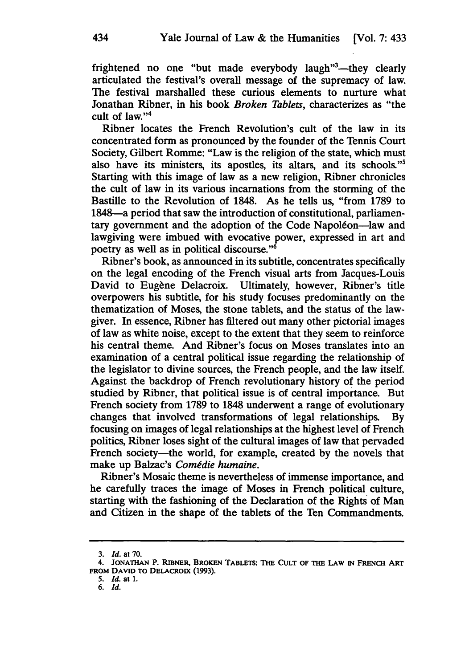frightened no one "but made everybody laugh"<sup>3</sup>—they clearly articulated the festival's overall message of the supremacy of law. The festival marshalled these curious elements to nurture what Jonathan Ribner, in his book *Broken Tablets,* characterizes as "the cult of law." $4$ 

Ribner locates the French Revolution's cult of the law in its concentrated form as pronounced by the founder of the Tennis Court Society, Gilbert Romme: "Law is the religion of the state, which must also have its ministers, its apostles, its altars, and its schools."5 Starting with this image of law as a new religion, Ribner chronicles the cult of law in its various incarnations from the storming of the Bastille to the Revolution of 1848. As he tells us, "from 1789 to 1848-a period that saw the introduction of constitutional, parliamentary government and the adoption of the Code Napoléon-law and lawgiving were imbued with evocative power, expressed in art and poetry as well as in political discourse."6

Ribner's book, as announced in its subtitle, concentrates specifically on the legal encoding of the French visual arts from Jacques-Louis David to Eugène Delacroix. Ultimately, however, Ribner's title overpowers his subtitle, for his study focuses predominantly on the thematization of Moses, the stone tablets, and the status of the lawgiver. In essence, Ribner has filtered out many other pictorial images of law as white noise, except to the extent that they seem to reinforce his central theme. And Ribner's focus on Moses translates into an examination of a central political issue regarding the relationship of the legislator to divine sources, the French people, and the law itself. Against the backdrop of French revolutionary history of the period studied by Ribner, that political issue is of central importance. But French society from 1789 to 1848 underwent a range of evolutionary changes that involved transformations of legal relationships. By focusing on images of legal relationships at the highest level of French politics, Ribner loses sight of the cultural images of law that pervaded French society-the world, for example, created by the novels that make up Balzac's *Comédie humaine*.

Ribner's Mosaic theme is nevertheless of immense importance, and he carefully traces the image of Moses in French political culture, starting with the fashioning of the Declaration of the Rights of Man and Citizen in the shape of the tablets of the Ten Commandments.

**<sup>3.</sup>** *Id.* **at 70.**

**<sup>4.</sup> JONATHAN** P. **RIBNER, BRoKEN TABLEis: THE CULT OF THE LAW IN FRENCH ART FROM DAVID To DELACROIX (1993).**

**<sup>5.</sup> Id. at 1.**

**<sup>6.</sup> Id.**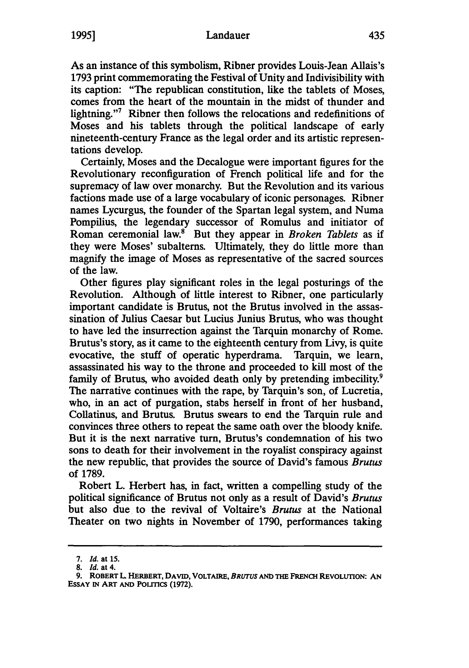## Landauer **1995]** 435

As an instance of this symbolism, Ribner provides Louis-Jean Allais's **1793** print commemorating the Festival of Unity and Indivisibility with its caption: "The republican constitution, like the tablets of Moses, comes from the heart of the mountain in the midst of thunder and lightning."7 Ribner then follows the relocations and redefinitions of Moses and his tablets through the political landscape of early nineteenth-century France as the legal order and its artistic representations develop.

Certainly, Moses and the Decalogue were important figures for the Revolutionary reconfiguration of French political life and for the supremacy of law over monarchy. But the Revolution and its various factions made use of a large vocabulary of iconic personages. Ribner names Lycurgus, the founder of the Spartan legal system, and Numa Pompilius, the legendary successor of Romulus and initiator of Roman ceremonial law.' But they appear in *Broken Tablets* as if they were Moses' subalterns. Ultimately, they do little more than magnify the image of Moses as representative of the sacred sources of the law.

Other figures play significant roles in the legal posturings of the Revolution. Although of little interest to Ribner, one particularly important candidate is Brutus, not the Brutus involved in the assassination of Julius Caesar but Lucius Junius Brutus, who was thought to have led the insurrection against the Tarquin monarchy of Rome. Brutus's story, as it came to the eighteenth century from Livy, is quite evocative, the stuff of operatic hyperdrama. Tarquin, we learn, assassinated his way to the throne and proceeded to kill most of the family of Brutus, who avoided death only by pretending imbecility.<sup>9</sup> The narrative continues with the rape, by Tarquin's son, of Lucretia, who, in an act of purgation, stabs herself in front of her husband, Collatinus, and Brutus. Brutus swears to end the Tarquin rule and convinces three others to repeat the same oath over the bloody knife. But it is the next narrative turn, Brutus's condemnation of his two sons to death for their involvement in the royalist conspiracy against the new republic, that provides the source of David's famous *Brutus* of 1789.

Robert L. Herbert has, in fact, written a compelling study of the political significance of Brutus not only as a result of David's *Brutus* but also due to the revival of Voltaire's *Brutus* at the National Theater on two nights in November of 1790, performances taking

**<sup>7.</sup>** *Id.* at **15.**

**<sup>8.</sup>** *Id.* at **4.**

**<sup>9.</sup> ROBERT** L **HERBERT, DAVID, VOLTAIRE,** *BRUTUS* **AND THE FRENCH REVOLUTION: AN ESSAY IN ART AND POLITICS (1972).**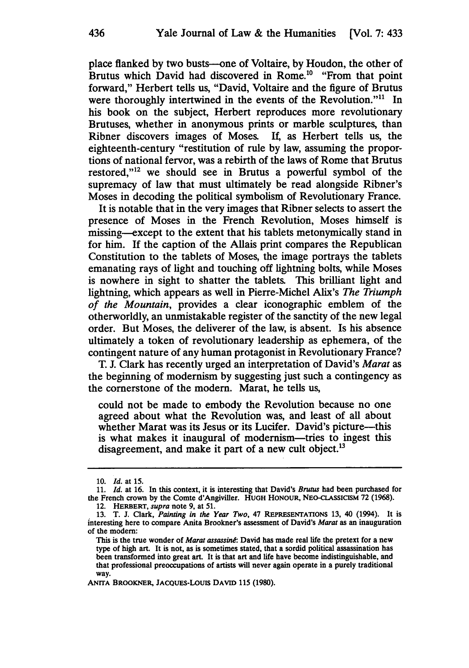place flanked by two busts--one of Voltaire, **by** Houdon, the other of Brutus which David had discovered in Rome.<sup>10</sup> "From that point forward," Herbert tells us, "David, Voltaire and the figure of Brutus were thoroughly intertwined in the events of the Revolution."<sup>11</sup> In his book on the subject, Herbert reproduces more revolutionary Brutuses, whether in anonymous prints or marble sculptures, than Ribner discovers images of Moses. If, as Herbert tells us, the eighteenth-century "restitution of rule by law, assuming the proportions of national fervor, was a rebirth of the laws of Rome that Brutus restored,"12 we should see in Brutus a powerful symbol of the supremacy of law that must ultimately be read alongside Ribner's Moses in decoding the political symbolism of Revolutionary France.

It is notable that in the very images that Ribner selects to assert the presence of Moses in the French Revolution, Moses himself is missing-except to the extent that his tablets metonymically stand in for him. If the caption of the Allais print compares the Republican Constitution to the tablets of Moses, the image portrays the tablets emanating rays of light and touching off lightning bolts, while Moses is nowhere in sight to shatter the tablets. This brilliant light and lightning, which appears as well in Pierre-Michel Alix's *The Triumph of the Mountain,* provides a clear iconographic emblem of the otherworldly, an unmistakable register of the sanctity of the new legal order. But Moses, the deliverer of the law, is absent. Is his absence ultimately a token of revolutionary leadership as ephemera, of the contingent nature of any human protagonist in Revolutionary France?

T. J. Clark has recently urged an interpretation of David's *Marat as* the beginning of modernism by suggesting just such a contingency as the cornerstone of the modern. Marat, he tells us,

could not be made to embody the Revolution because no one agreed about what the Revolution was, and least of all about whether Marat was its Jesus or its Lucifer. David's picture—this is what makes it inaugural of modernism-tries to ingest this disagreement, and make it part of a new cult object.<sup>13</sup>

ANITA BROOKNER, JACQUES-LouIs DAVID **115 (1980).**

**<sup>10.</sup>** *Id.* at **15.**

**<sup>11.</sup>** *Id.* at **16.** In this context, it is interesting that David's *Brutus* had been purchased for the French crown by the Comte d'Angiviller. HUGH **HONOUR,** NEO-CLASSICISM **72 (1968).** 12. **HERBERT,** *supra* note **9,** at **51.**

**<sup>13.</sup>** T. **J.** Clark, *Painting in the Year Two,* 47 **REPRESENTATIONS 13,** 40 (1994). It is interesting here to compare Anita Brookner's assessment of David's *Marat* as an inauguration of the modem:

This is the true wonder of *Marat assassind:* David has made real life the pretext for a new type of high art. It is not, as is sometimes stated, that a sordid political assassination has been transformed into great art. It is that art and life have become indistinguishable, and that professional preoccupations of artists will never again operate in a purely traditional way.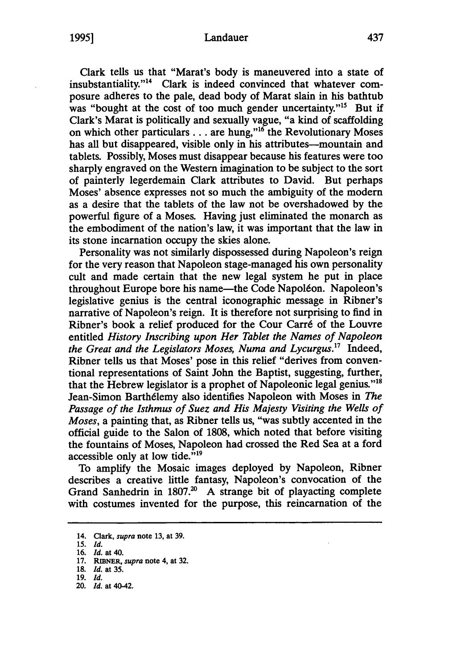#### Landauer

**1995]**

Clark tells us that "Marat's body is maneuvered into a state of insubstantiality." $14$  Clark is indeed convinced that whatever composure adheres to the pale, dead body of Marat slain in his bathtub was "bought at the cost of too much gender uncertainty."<sup>15</sup> But if Clark's Marat is politically and sexually vague, "a kind of scaffolding on which other particulars... are hung,"'6 the Revolutionary Moses has all but disappeared, visible only in his attributes--mountain and tablets. Possibly, Moses must disappear because his features were too sharply engraved on the Western imagination to be subject to the sort of painterly legerdemain Clark attributes to David. But perhaps Moses' absence expresses not so much the ambiguity of the modern as a desire that the tablets of the law not be overshadowed by the powerful figure of a Moses. Having just eliminated the monarch as the embodiment of the nation's law, it was important that the law in its stone incarnation occupy the skies alone.

Personality was not similarly dispossessed during Napoleon's reign for the very reason that Napoleon stage-managed his own personality cult and made certain that the new legal system he put in place throughout Europe bore his name—the Code Napoléon. Napoleon's legislative genius is the central iconographic message in Ribner's narrative of Napoleon's reign. It is therefore not surprising to find in Ribner's book a relief produced for the Cour Carré of the Louvre entitled *History Inscribing upon Her Tablet the Names of Napoleon the Great and the Legislators Moses, Numa and Lycurgus.17* Indeed, Ribner tells us that Moses' pose in this relief "derives from conventional representations of Saint John the Baptist, suggesting, further, that the Hebrew legislator is a prophet of Napoleonic legal genius.""8 Jean-Simon Barthdlemy also identifies Napoleon with Moses in *The Passage of the Isthmus of Suez and His Majesty Visiting the Wells of Moses,* a painting that, as Ribner tells us, "was subtly accented in the official guide to the Salon of 1808, which noted that before visiting the fountains of Moses, Napoleon had crossed the Red Sea at a ford accessible only at low tide." $19$ 

To amplify the Mosaic images deployed by Napoleon, Ribner describes a creative little fantasy, Napoleon's convocation of the Grand Sanhedrin in  $1807<sup>20</sup>$  A strange bit of playacting complete with costumes invented for the purpose, this reincarnation of the

<sup>14.</sup> Clark, *supra* note 13, at 39.

*<sup>15.</sup> Id.*

<sup>16.</sup> *Id.* at 40.

<sup>17.</sup> RIENER, *supra* note 4, at 32.

<sup>18.</sup> *Id.* at 35.

<sup>19.</sup> *Id.*

<sup>20.</sup> *Id.* at 40-42.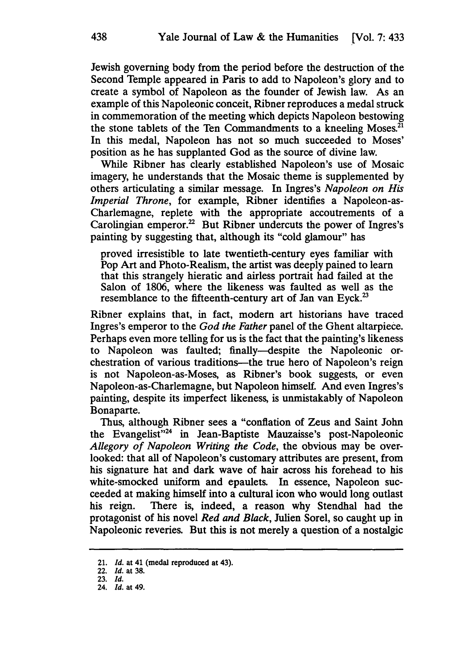Jewish governing body from the period before the destruction of the Second Temple appeared in Paris to add to Napoleon's glory and to create a symbol of Napoleon as the founder of Jewish law. As an example of this Napoleonic conceit, Ribner reproduces a medal struck in commemoration of the meeting which depicts Napoleon bestowing the stone tablets of the Ten Commandments to a kneeling Moses. $21$ In this medal, Napoleon has not so much succeeded to Moses' position as he has supplanted God as the source of divine law.

While Ribner has clearly established Napoleon's use of Mosaic imagery, he understands that the Mosaic theme is supplemented by others articulating a similar message. In Ingres's *Napoleon on His Imperial Throne,* for example, Ribner identifies a Napoleon-as-Charlemagne, replete with the appropriate accoutrements of a Carolingian emperor.<sup>22</sup> But Ribner undercuts the power of Ingres's painting by suggesting that, although its "cold glamour" has

proved irresistible to late twentieth-century eyes familiar with Pop Art and Photo-Realism, the artist was deeply pained to learn that this strangely hieratic and airless portrait had failed at the Salon of 1806, where the likeness was faulted as well as the resemblance to the fifteenth-century art of Jan van Eyck.<sup>23</sup>

Ribner explains that, in fact, modem art historians have traced Ingres's emperor to the *God the Father* panel of the Ghent altarpiece. Perhaps even more telling for us is the fact that the painting's likeness to Napoleon was faulted; finally-despite the Napoleonic orchestration of various traditions—the true hero of Napoleon's reign is not Napoleon-as-Moses, as Ribner's book suggests, or even Napoleon-as-Charlemagne, but Napoleon himself. And even Ingres's painting, despite its imperfect likeness, is unmistakably of Napoleon Bonaparte.

Thus, although Ribner sees a "conflation of Zeus and Saint John the Evangelist"<sup>24</sup> in Jean-Baptiste Mauzaisse's post-Napoleonic *Allegory of Napoleon Writing the Code,* the obvious may be overlooked: that all of Napoleon's customary attributes are present, from his signature hat and dark wave of hair across his forehead to his white-smocked uniform and epaulets. In essence, Napoleon succeeded at making himself into a cultural icon who would long outlast his reign. There is, indeed, a reason why Stendhal had the protagonist of his novel *Red and Black,* Julien Sorel, so caught up in Napoleonic reveries. But this is not merely a question of a nostalgic

<sup>21.</sup> *Id.* at 41 (medal reproduced at 43).

<sup>22.</sup> *Id.* at 38.

<sup>23.</sup> Id.

<sup>24.</sup> Id. at 49.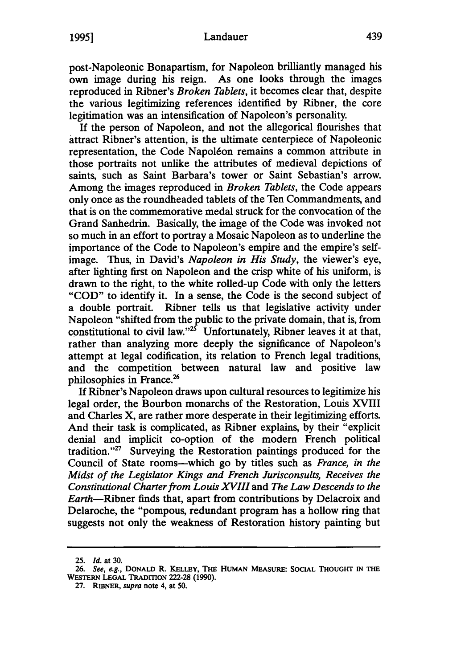#### Landauer

post-Napoleonic Bonapartism, for Napoleon brilliantly managed his own image during his reign. As one looks through the images reproduced in Ribner's *Broken Tablets,* it becomes clear that, despite the various legitimizing references identified by Ribner, the core legitimation was an intensification of Napoleon's personality.

If the person of Napoleon, and not the allegorical flourishes that attract Ribner's attention, is the ultimate centerpiece of Napoleonic representation, the Code Napoléon remains a common attribute in those portraits not unlike the attributes of medieval depictions of saints, such as Saint Barbara's tower or Saint Sebastian's arrow. Among the images reproduced in *Broken Tablets,* the Code appears only once as the roundheaded tablets of the Ten Commandments, and that is on the commemorative medal struck for the convocation of the Grand Sanhedrin. Basically, the image of the Code was invoked not so much in an effort to portray a Mosaic Napoleon as to underline the importance of the Code to Napoleon's empire and the empire's selfimage. Thus, in David's *Napoleon in His Study,* the viewer's eye, after lighting first on Napoleon and the crisp white of his uniform, is drawn to the right, to the white rolled-up Code with only the letters "COD" to identify it. In a sense, the Code is the second subject of a double portrait. Ribner tells us that legislative activity under Napoleon "shifted from the public to the private domain, that is, from constitutional to civil law."<sup>25</sup> Unfortunately, Ribner leaves it at that, rather than analyzing more deeply the significance of Napoleon's attempt at legal codification, its relation to French legal traditions, and the competition between natural law and positive law philosophies in France.'

If Ribner's Napoleon draws upon cultural resources to legitimize his legal order, the Bourbon monarchs of the Restoration, Louis XVIII and Charles X, are rather more desperate in their legitimizing efforts. And their task is complicated, as Ribner explains, by their "explicit denial and implicit co-option of the modem French political tradition."<sup>27</sup> Surveying the Restoration paintings produced for the Council of State rooms-which go by titles such as *France, in the Midst of the Legislator Kings and French Jurisconsults, Receives the Constitutional Charter from Louis XVIII and The Law Descends to the* Earth-Ribner finds that, apart from contributions by Delacroix and Delaroche, the "pompous, redundant program has a hollow ring that suggests not only the weakness of Restoration history painting but

**<sup>25.</sup>** *Id.* at 30.

**<sup>26.</sup>** *See, eg.,* **DONALD R. KELLEY, THE HUMAN MEASURE: SOCIAL THOUGHT IN THE WESTERN LEGAL TRADITION** 222-28 **(1990).**

**<sup>27.</sup> RIBNER,** *supra* note 4, at **50.**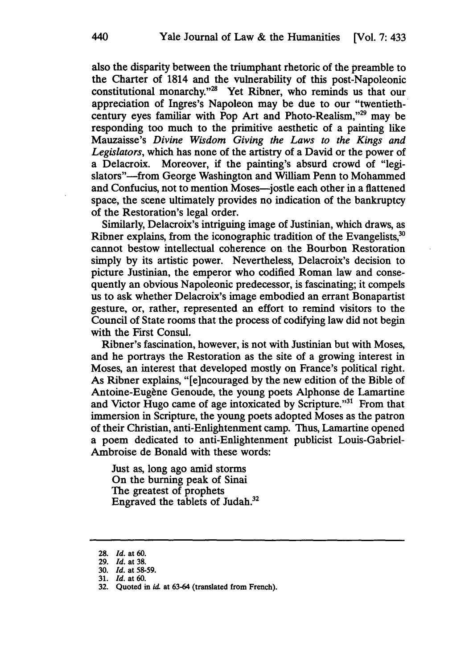also the disparity between the triumphant rhetoric of the preamble to the Charter of 1814 and the vulnerability of this post-Napoleonic constitutional monarchy."<sup>28</sup> Yet Ribner, who reminds us that our appreciation of Ingres's Napoleon may be due to our "twentiethcentury eyes familiar with Pop Art and Photo-Realism."<sup>29</sup> may be responding too much to the primitive aesthetic of a painting like Mauzaisse's *Divine Wisdom Giving the Laws to the Kings and Legislators,* which has none of the artistry of a David or the power of a Delacroix. Moreover, if the painting's absurd crowd of "legislators"-from George Washington and William Penn to Mohammed and Confucius, not to mention Moses-jostle each other in a flattened space, the scene ultimately provides no indication of the bankruptcy of the Restoration's legal order.

Similarly, Delacroix's intriguing image of Justinian, which draws, as Ribner explains, from the iconographic tradition of the Evangelists, $30$ cannot bestow intellectual coherence on the Bourbon Restoration simply by its artistic power. Nevertheless, Delacroix's decision to picture Justinian, the emperor who codified Roman law and consequently an obvious Napoleonic predecessor, is fascinating; it compels us to ask whether Delacroix's image embodied an errant Bonapartist gesture, or, rather, represented an effort to remind visitors to the Council of State rooms that the process of codifying law did not begin with the First Consul.

Ribner's fascination, however, is not with Justinian but with Moses, and he portrays the Restoration as the site of a growing interest in Moses, an interest that developed mostly on France's political right. As Ribner explains, "[e]ncouraged by the new edition of the Bible of Antoine-Eugène Genoude, the young poets Alphonse de Lamartine and Victor Hugo came of age intoxicated by Scripture."<sup>31</sup> From that immersion in Scripture, the young poets adopted Moses as the patron of their Christian, anti-Enlightenment camp. Thus, Lamartine opened a poem dedicated to anti-Enlightenment publicist Louis-Gabriel-Ambroise de Bonald with these words:

Just as, long ago amid storms On the burning peak of Sinai The greatest of prophets Engraved the tablets of Judah.32

**<sup>28.</sup>** *Id.* at 60.

<sup>29.</sup> *Id.* at 38.

**<sup>30.</sup>** *Id.* at 58-59.

<sup>31.</sup> *Id.* at 60.

**<sup>32.</sup>** Quoted in *id* at **63-64** (translated from French).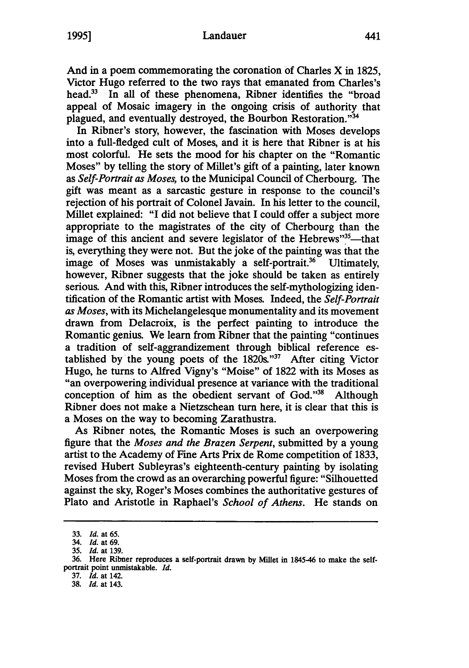### Landauer

And in a poem commemorating the coronation of Charles X in **1825,** Victor Hugo referred to the two rays that emanated from Charles's head.<sup>33</sup> In all of these phenomena, Ribner identifies the "broad appeal of Mosaic imagery in the ongoing crisis of authority that plagued, and eventually destroyed, the Bourbon Restoration."34

In Ribner's story, however, the fascination with Moses develops into a full-fledged cult of Moses, and it is here that Ribner is at his most colorful. He sets the mood for his chapter on the "Romantic Moses" by telling the story of Millet's gift of a painting, later known as *Self-Portrait as Moses,* to the Municipal Council of Cherbourg. The gift was meant as a sarcastic gesture in response to the council's rejection of his portrait of Colonel Javain. In his letter to the council, Millet explained: "I did not believe that I could offer a subject more appropriate to the magistrates of the city of Cherbourg than the image of this ancient and severe legislator of the Hebrews"<sup>35</sup>—tha is, everything they were not. But the joke of the painting was that the image of Moses was unmistakably a self-portrait.<sup>36</sup> Ultimately, however, Ribner suggests that the joke should be taken as entirely serious. And with this, Ribner introduces the self-mythologizing identification of the Romantic artist with Moses. Indeed, the *Self-Portrait as Moses,* with its Michelangelesque monumentality and its movement drawn from Delacroix, is the perfect painting to introduce the Romantic genius. We learn from Ribner that the painting "continues a tradition of self-aggrandizement through biblical reference established by the young poets of the 1820s."37 After citing Victor Hugo, he turns to Alfred Vigny's "Moise" of 1822 with its Moses as "an overpowering individual presence at variance with the traditional conception of him as the obedient servant of God."<sup>38</sup> Although Ribner does not make a Nietzschean turn here, it is clear that this is a Moses on the way to becoming Zarathustra.

As Ribner notes, the Romantic Moses is such an overpowering figure that the *Moses and the Brazen Serpent,* submitted by a young artist to the Academy of Fine Arts Prix de Rome competition of 1833, revised Hubert Subleyras's eighteenth-century painting by isolating Moses from the crowd as an overarching powerful figure: "Silhouetted against the sky, Roger's Moses combines the authoritative gestures of Plato and Aristotle in Raphael's *School of Athens.* He stands on

**37.** *Id.* at 142.

<sup>33.</sup> *Id.* at 65.

<sup>34.</sup> *Id.* at 69.

*<sup>35.</sup> Id.* at 139.

**<sup>36.</sup>** Here Ribner reproduces a self-portrait drawn **by** Millet in 1845-46 to make the selfportrait point unmistakable. *Id.*

**<sup>38.</sup>** *Id.* at 143.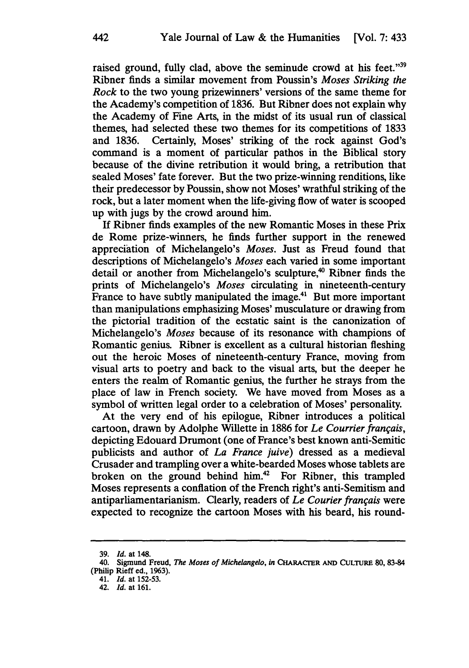raised ground, fully clad, above the seminude crowd at his feet."39 Ribner finds a similar movement from Poussin's *Moses Striking the Rock* to the two young prizewinners' versions of the same theme for the Academy's competition of 1836. But Ribner does not explain why the Academy of Fine Arts, in the midst of its usual run of classical themes, had selected these two themes for its competitions of **1833** and **1836.** Certainly, Moses' striking of the rock against God's command is a moment of particular pathos in the Biblical story because of the divine retribution it would bring, a retribution that sealed Moses' fate forever. But the two prize-winning renditions, like their predecessor **by** Poussin, show not Moses' wrathful striking of the rock, but a later moment when the life-giving flow of water is scooped up with jugs **by** the crowd around him.

**If** Ribner finds examples of the new Romantic Moses in these Prix de Rome prize-winners, he finds further support in the renewed appreciation of Michelangelo's *Moses.* Just as Freud found that descriptions of Michelangelo's *Moses* each varied in some important detail or another from Michelangelo's sculpture,<sup>40</sup> Ribner finds the prints of Michelangelo's *Moses* circulating in nineteenth-century France to have subtly manipulated the image.<sup>41</sup> But more important than manipulations emphasizing Moses' musculature or drawing from the pictorial tradition of the ecstatic saint is the canonization of Michelangelo's *Moses* because of its resonance with champions of Romantic genius. Ribner is excellent as a cultural historian fleshing out the heroic Moses of nineteenth-century France, moving from visual arts to poetry and back to the visual arts, but the deeper he enters the realm of Romantic genius, the further he strays from the place of law in French society. We have moved from Moses as a symbol of written legal order to a celebration of Moses' personality.

At the very end of his epilogue, Ribner introduces a political cartoon, drawn by Adolphe Wiliette in 1886 for *Le Courrier franqais,* depicting Edouard Drumont (one of France's best known anti-Semitic publicists and author of *La France juive)* dressed as a medieval Crusader and trampling over a white-bearded Moses whose tablets are broken on the ground behind him.42 For Ribner, this trampled Moses represents a conflation of the French right's anti-Semitism and antiparliamentarianism. Clearly, readers of *Le Courier franqais* were expected to recognize the cartoon Moses with his beard, his round-

<sup>39.</sup> *Id.* at 148.

<sup>40.</sup> Sigmund Freud, *The Moses of Michelangelo, in* **CHARACrER AND CULTURE 80, 83-84** (Philip Rieff ed., 1963).

<sup>41.</sup> *Id.* at 152-53.

<sup>42.</sup> *Id.* at **161.**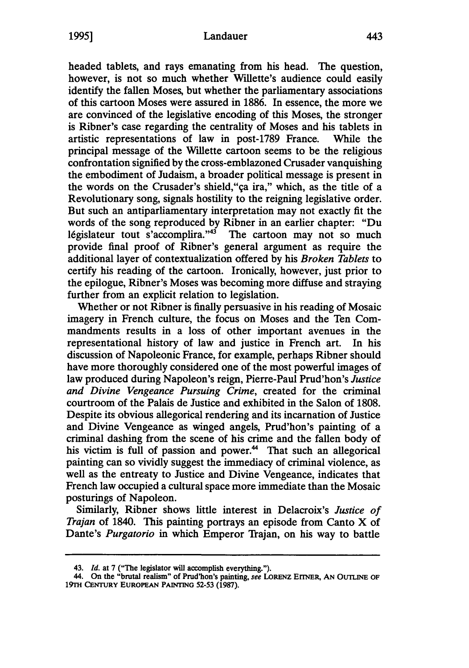headed tablets, and rays emanating from his head. The question, however, is not so much whether Willette's audience could easily identify the fallen Moses, but whether the parliamentary associations of this cartoon Moses were assured in 1886. In essence, the more we are convinced of the legislative encoding of this Moses, the stronger is Ribner's case regarding the centrality of Moses and his tablets in artistic representations of law in post-1789 France. While the principal message of the Willette cartoon seems to be the religious confrontation signified by the cross-emblazoned Crusader vanquishing the embodiment of Judaism, a broader political message is present in the words on the Crusader's shield,"qa ira," which, as the title of a Revolutionary song, signals hostility to the reigning legislative order. But such an antiparliamentary interpretation may not exactly fit the words of the song reproduced by Ribner in an earlier chapter: "Du 1égislateur tout s'accomplira." $43$  The cartoon may not so much provide final proof of Ribner's general argument as require the additional layer of contextualization offered by his *Broken Tablets* to certify his reading of the cartoon. Ironically, however, just prior to the epilogue, Ribner's Moses was becoming more diffuse and straying further from an explicit relation to legislation.

Whether or not Ribner is finally persuasive in his reading of Mosaic imagery in French culture, the focus on Moses and the Ten Commandments results in a loss of other important avenues in the representational history of law and justice in French art. In his discussion of Napoleonic France, for example, perhaps Ribner should have more thoroughly considered one of the most powerful images of law produced during Napoleon's reign, Pierre-Paul Prud'hon's *Justice and Divine Vengeance Pursuing Crime,* created for the criminal courtroom of the Palais de Justice and exhibited in the Salon of 1808. Despite its obvious allegorical rendering and its incarnation of Justice and Divine Vengeance as winged angels, Prud'hon's painting of a criminal dashing from the scene of his crime and the fallen body of his victim is full of passion and power.<sup>44</sup> That such an allegorical painting can so vividly suggest the immediacy of criminal violence, as well as the entreaty to Justice and Divine Vengeance, indicates that French law occupied a cultural space more immediate than the Mosaic posturings of Napoleon.

Similarly, Ribner shows little interest in Delacroix's *Justice of Trajan* of 1840. This painting portrays an episode from Canto X of Dante's *Purgatorio* in which Emperor Trajan, on his way to battle

<sup>43.</sup> *Id.* at 7 ("The legislator will accomplish everything.").

<sup>44.</sup> On the "brutal realism" of Prud'hon's painting, see **LoRENz ErINER, AN** OUTLINE **OF** 19TH **CENTURY** EUROPEAN PAINTING 52-53 **(1987).**